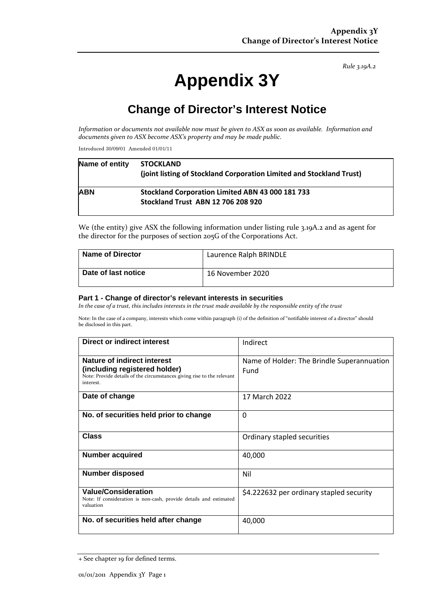*Rule 3.19A.2*

# **Appendix 3Y**

## **Change of Director's Interest Notice**

*Information or documents not available now must be given to ASX as soon as available. Information and documents given to ASX become ASX's property and may be made public.*

Introduced 30/09/01 Amended 01/01/11

| Name of entity | <b>STOCKLAND</b><br>(joint listing of Stockland Corporation Limited and Stockland Trust)      |
|----------------|-----------------------------------------------------------------------------------------------|
| <b>ABN</b>     | Stockland Corporation Limited ABN 43 000 181 733<br><b>Stockland Trust ABN 12 706 208 920</b> |

We (the entity) give ASX the following information under listing rule 3.19A.2 and as agent for the director for the purposes of section 205G of the Corporations Act.

| <b>Name of Director</b> | Laurence Ralph BRINDLE |
|-------------------------|------------------------|
| Date of last notice     | 16 November 2020       |

#### **Part 1 - Change of director's relevant interests in securities**

*In the case of a trust, this includes interests in the trust made available by the responsible entity of the trust*

Note: In the case of a company, interests which come within paragraph (i) of the definition of "notifiable interest of a director" should be disclosed in this part.

| Direct or indirect interest                                                                                                                         | Indirect                                           |  |
|-----------------------------------------------------------------------------------------------------------------------------------------------------|----------------------------------------------------|--|
| Nature of indirect interest<br>(including registered holder)<br>Note: Provide details of the circumstances giving rise to the relevant<br>interest. | Name of Holder: The Brindle Superannuation<br>Fund |  |
| Date of change                                                                                                                                      | 17 March 2022                                      |  |
| No. of securities held prior to change                                                                                                              | $\mathbf 0$                                        |  |
| <b>Class</b>                                                                                                                                        | Ordinary stapled securities                        |  |
| <b>Number acquired</b>                                                                                                                              | 40,000                                             |  |
| <b>Number disposed</b>                                                                                                                              | Nil                                                |  |
| <b>Value/Consideration</b><br>Note: If consideration is non-cash, provide details and estimated<br>valuation                                        | \$4.222632 per ordinary stapled security           |  |
| No. of securities held after change                                                                                                                 | 40,000                                             |  |

<sup>+</sup> See chapter 19 for defined terms.